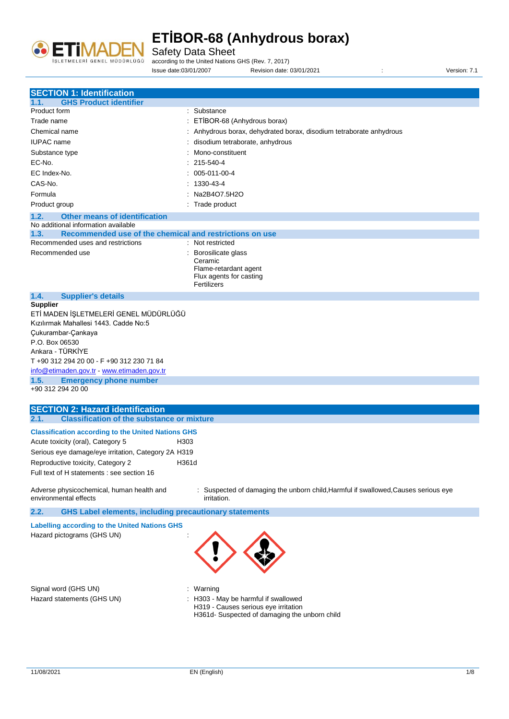

Safety Data Sheet

according to the United Nations GHS (Rev. 7, 2017)

Issue date:03/01/2007 Revision date: 03/01/2021 : Version: 7.1

| <b>SECTION 1: Identification</b>                                                    |                                                                                                   |
|-------------------------------------------------------------------------------------|---------------------------------------------------------------------------------------------------|
| <b>GHS Product identifier</b><br>1.1.                                               |                                                                                                   |
| Product form                                                                        | : Substance                                                                                       |
| Trade name                                                                          | ETİBOR-68 (Anhydrous borax)                                                                       |
| Chemical name                                                                       | : Anhydrous borax, dehydrated borax, disodium tetraborate anhydrous                               |
| <b>IUPAC</b> name                                                                   | disodium tetraborate, anhydrous                                                                   |
|                                                                                     | Mono-constituent                                                                                  |
| Substance type                                                                      |                                                                                                   |
| EC-No.                                                                              | $: 215 - 540 - 4$                                                                                 |
| EC Index-No.                                                                        | $: 005-011-00-4$                                                                                  |
| CAS-No.                                                                             | 1330-43-4                                                                                         |
| Formula                                                                             | Na2B4O7.5H2O                                                                                      |
| Product group                                                                       | : Trade product                                                                                   |
| <b>Other means of identification</b><br>1.2.<br>No additional information available |                                                                                                   |
| 1.3.<br>Recommended use of the chemical and restrictions on use                     |                                                                                                   |
| Recommended uses and restrictions                                                   | : Not restricted                                                                                  |
| Recommended use                                                                     | : Borosilicate glass                                                                              |
|                                                                                     | Ceramic                                                                                           |
|                                                                                     | Flame-retardant agent                                                                             |
|                                                                                     | Flux agents for casting                                                                           |
|                                                                                     | Fertilizers                                                                                       |
| 1.4.<br><b>Supplier's details</b>                                                   |                                                                                                   |
| <b>Supplier</b>                                                                     |                                                                                                   |
| ETİ MADEN İŞLETMELERİ GENEL MÜDÜRLÜĞÜ                                               |                                                                                                   |
| Kızılırmak Mahallesi 1443. Cadde No:5                                               |                                                                                                   |
| Çukurambar-Çankaya                                                                  |                                                                                                   |
| P.O. Box 06530                                                                      |                                                                                                   |
| Ankara - TÜRKİYE                                                                    |                                                                                                   |
| T +90 312 294 20 00 - F +90 312 230 71 84                                           |                                                                                                   |
| info@etimaden.gov.tr - www.etimaden.gov.tr                                          |                                                                                                   |
| <b>Emergency phone number</b><br>1.5.<br>+90 312 294 20 00                          |                                                                                                   |
|                                                                                     |                                                                                                   |
| <b>SECTION 2: Hazard identification</b>                                             |                                                                                                   |
| <b>Classification of the substance or mixture</b><br>2.1.                           |                                                                                                   |
|                                                                                     |                                                                                                   |
| <b>Classification according to the United Nations GHS</b>                           |                                                                                                   |
| Acute toxicity (oral), Category 5<br>H303                                           |                                                                                                   |
| Serious eye damage/eye irritation, Category 2A H319                                 |                                                                                                   |
| Reproductive toxicity, Category 2<br>H361d                                          |                                                                                                   |
| Full text of H statements : see section 16                                          |                                                                                                   |
|                                                                                     |                                                                                                   |
| Adverse physicochemical, human health and                                           | : Suspected of damaging the unborn child, Harmful if swallowed, Causes serious eye<br>irritation. |
| environmental effects                                                               |                                                                                                   |
| <b>GHS Label elements, including precautionary statements</b><br>2.2.               |                                                                                                   |
| <b>Labelling according to the United Nations GHS</b>                                |                                                                                                   |
| Hazard pictograms (GHS UN)                                                          |                                                                                                   |
|                                                                                     |                                                                                                   |
|                                                                                     |                                                                                                   |
|                                                                                     |                                                                                                   |
|                                                                                     |                                                                                                   |
|                                                                                     |                                                                                                   |
| Signal word (GHS UN)                                                                | : Warning                                                                                         |
| Hazard statements (GHS UN)                                                          | : H303 - May be harmful if swallowed                                                              |
|                                                                                     | H319 - Causes serious eye irritation                                                              |
|                                                                                     | H361d- Suspected of damaging the unborn child                                                     |
|                                                                                     |                                                                                                   |
|                                                                                     |                                                                                                   |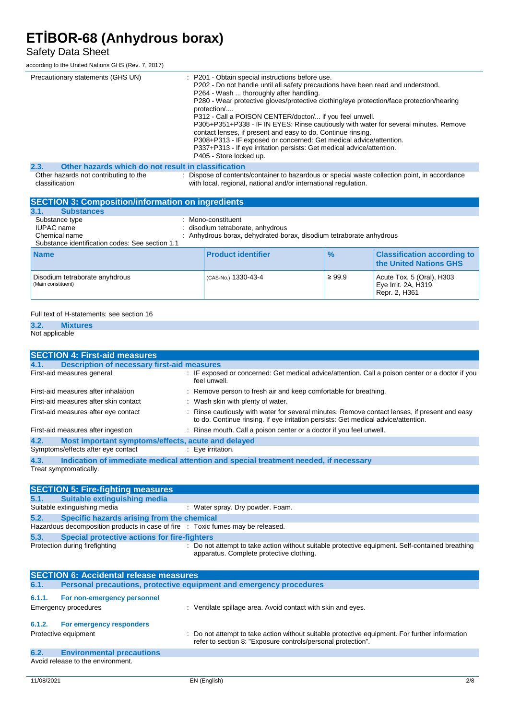### Safety Data Sheet

according to the United Nations GHS (Rev. 7, 2017)

| Precautionary statements (GHS UN)                           | : P201 - Obtain special instructions before use.<br>P202 - Do not handle until all safety precautions have been read and understood.<br>P264 - Wash  thoroughly after handling.<br>P280 - Wear protective gloves/protective clothing/eye protection/face protection/hearing<br>protection/<br>P312 - Call a POISON CENTER/doctor/ if you feel unwell.<br>P305+P351+P338 - IF IN EYES: Rinse cautiously with water for several minutes. Remove<br>contact lenses, if present and easy to do. Continue rinsing.<br>P308+P313 - IF exposed or concerned: Get medical advice/attention.<br>P337+P313 - If eye irritation persists: Get medical advice/attention.<br>P405 - Store locked up. |
|-------------------------------------------------------------|-----------------------------------------------------------------------------------------------------------------------------------------------------------------------------------------------------------------------------------------------------------------------------------------------------------------------------------------------------------------------------------------------------------------------------------------------------------------------------------------------------------------------------------------------------------------------------------------------------------------------------------------------------------------------------------------|
| 2.3.<br>Other hazards which do not result in classification |                                                                                                                                                                                                                                                                                                                                                                                                                                                                                                                                                                                                                                                                                         |
|                                                             | : Dispose of contents/container to hazardous or special waste collection point, in accordance                                                                                                                                                                                                                                                                                                                                                                                                                                                                                                                                                                                           |
| Other hazards not contributing to the                       |                                                                                                                                                                                                                                                                                                                                                                                                                                                                                                                                                                                                                                                                                         |

classification

with local, regional, national and/or international regulation. **SECTION 3: Composition/information on ingredients**

| <b>SECTION 3. COMPOSITION/MOTIFICATOR ON MIGHTS</b>                                              |                                                     |                                                                   |               |                                                                   |
|--------------------------------------------------------------------------------------------------|-----------------------------------------------------|-------------------------------------------------------------------|---------------|-------------------------------------------------------------------|
| <b>Substances</b><br>3.1.                                                                        |                                                     |                                                                   |               |                                                                   |
| Substance type<br>IUPAC name<br>Chemical name<br>Substance identification codes: See section 1.1 | Mono-constituent<br>disodium tetraborate, anhydrous | Anhydrous borax, dehydrated borax, disodium tetraborate anhydrous |               |                                                                   |
| <b>Name</b>                                                                                      | <b>Product identifier</b>                           |                                                                   | $\frac{9}{6}$ | <b>Classification according to</b><br>the United Nations GHS      |
| Disodium tetraborate anyhdrous<br>(Main constituent)                                             | (CAS-No.) 1330-43-4                                 |                                                                   | $\geq 99.9$   | Acute Tox. 5 (Oral), H303<br>Eye Irrit. 2A, H319<br>Repr. 2, H361 |

#### Full text of H-statements: see section 16

### **3.2. Mixtures**

Not applicable

| <b>SECTION 4: First-aid measures</b>                       |                                                                                                                                                                                     |
|------------------------------------------------------------|-------------------------------------------------------------------------------------------------------------------------------------------------------------------------------------|
| <b>Description of necessary first-aid measures</b><br>4.1. |                                                                                                                                                                                     |
| First-aid measures general                                 | : IF exposed or concerned: Get medical advice/attention. Call a poison center or a doctor if you<br>feel unwell.                                                                    |
| First-aid measures after inhalation                        | : Remove person to fresh air and keep comfortable for breathing.                                                                                                                    |
| First-aid measures after skin contact                      | : Wash skin with plenty of water.                                                                                                                                                   |
| First-aid measures after eye contact                       | : Rinse cautiously with water for several minutes. Remove contact lenses, if present and easy<br>to do. Continue rinsing. If eye irritation persists: Get medical advice/attention. |
| First-aid measures after ingestion                         | : Rinse mouth. Call a poison center or a doctor if you feel unwell.                                                                                                                 |
| Most important symptoms/effects, acute and delayed<br>4.2. |                                                                                                                                                                                     |
| Symptoms/effects after eye contact                         | : Eve irritation.                                                                                                                                                                   |
| 4.3.                                                       | Indication of immediate medical attention and special treatment needed, if necessary                                                                                                |
| Treat symptomatically.                                     |                                                                                                                                                                                     |

|      | <b>SECTION 5: Fire-fighting measures</b>                                        |                                                                                                                                             |
|------|---------------------------------------------------------------------------------|---------------------------------------------------------------------------------------------------------------------------------------------|
|      | 5.1. Suitable extinguishing media                                               |                                                                                                                                             |
|      | Suitable extinguishing media                                                    | : Water spray. Dry powder. Foam.                                                                                                            |
| 5.2. | Specific hazards arising from the chemical                                      |                                                                                                                                             |
|      | Hazardous decomposition products in case of fire : Toxic fumes may be released. |                                                                                                                                             |
| 5.3. | Special protective actions for fire-fighters                                    |                                                                                                                                             |
|      | Protection during firefighting                                                  | : Do not attempt to take action without suitable protective equipment. Self-contained breathing<br>apparatus. Complete protective clothing. |

|        | <b>SECTION 6: Accidental release measures</b>                       |                                                                                                                                                                |  |  |
|--------|---------------------------------------------------------------------|----------------------------------------------------------------------------------------------------------------------------------------------------------------|--|--|
| 6.1.   | Personal precautions, protective equipment and emergency procedures |                                                                                                                                                                |  |  |
| 6.1.1. | For non-emergency personnel<br>Emergency procedures                 | : Ventilate spillage area. Avoid contact with skin and eyes.                                                                                                   |  |  |
| 6.1.2. | For emergency responders<br>Protective equipment                    | : Do not attempt to take action without suitable protective equipment. For further information<br>refer to section 8: "Exposure controls/personal protection". |  |  |
| 6.2.   | <b>Environmental precautions</b>                                    |                                                                                                                                                                |  |  |
|        | Avoid release to the environment.                                   |                                                                                                                                                                |  |  |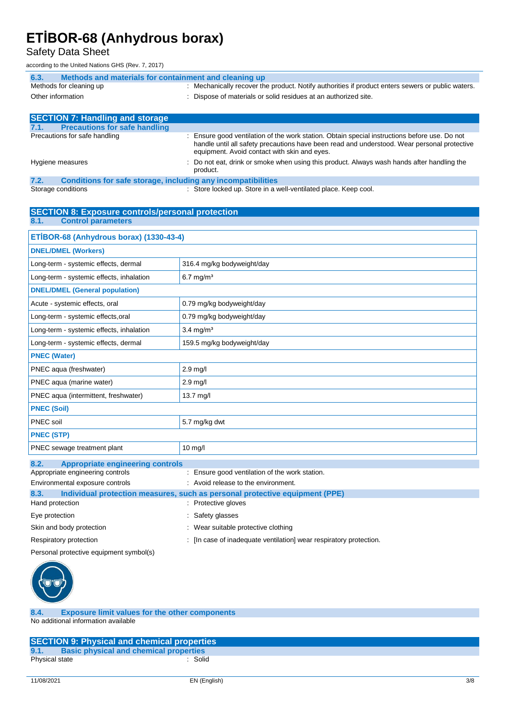Safety Data Sheet

according to the United Nations GHS (Rev. 7, 2017)

| Methods and materials for containment and cleaning up<br>6.3. |                                                                                                                                                                                                                                              |
|---------------------------------------------------------------|----------------------------------------------------------------------------------------------------------------------------------------------------------------------------------------------------------------------------------------------|
| Methods for cleaning up                                       | : Mechanically recover the product. Notify authorities if product enters sewers or public waters.                                                                                                                                            |
| Other information                                             | : Dispose of materials or solid residues at an authorized site.                                                                                                                                                                              |
|                                                               |                                                                                                                                                                                                                                              |
| <b>SECTION 7: Handling and storage</b>                        |                                                                                                                                                                                                                                              |
| <b>Precautions for safe handling</b><br>7.1.                  |                                                                                                                                                                                                                                              |
| Precautions for safe handling                                 | : Ensure good ventilation of the work station. Obtain special instructions before use. Do not<br>handle until all safety precautions have been read and understood. Wear personal protective<br>equipment. Avoid contact with skin and eyes. |

|                  |  |  |          | below that the contract with sith and byco. |                                                                                            |
|------------------|--|--|----------|---------------------------------------------|--------------------------------------------------------------------------------------------|
| Hygiene measures |  |  | product. |                                             | : Do not eat, drink or smoke when using this product. Always wash hands after handling the |
|                  |  |  |          |                                             |                                                                                            |

**7.2. Conditions for safe storage, including any incompatibilities** : Store locked up. Store in a well-ventilated place. Keep cool.

| <b>SECTION 8: Exposure controls/personal protection</b> |                                                                             |  |  |  |
|---------------------------------------------------------|-----------------------------------------------------------------------------|--|--|--|
| <b>Control parameters</b><br>8.1.                       |                                                                             |  |  |  |
| ETİBOR-68 (Anhydrous borax) (1330-43-4)                 |                                                                             |  |  |  |
| <b>DNEL/DMEL (Workers)</b>                              |                                                                             |  |  |  |
| Long-term - systemic effects, dermal                    | 316.4 mg/kg bodyweight/day                                                  |  |  |  |
| Long-term - systemic effects, inhalation                | $6.7$ mg/m <sup>3</sup>                                                     |  |  |  |
| <b>DNEL/DMEL (General population)</b>                   |                                                                             |  |  |  |
| Acute - systemic effects, oral                          | 0.79 mg/kg bodyweight/day                                                   |  |  |  |
| Long-term - systemic effects, oral                      | 0.79 mg/kg bodyweight/day                                                   |  |  |  |
| Long-term - systemic effects, inhalation                | $3.4$ mg/m <sup>3</sup>                                                     |  |  |  |
| Long-term - systemic effects, dermal                    | 159.5 mg/kg bodyweight/day                                                  |  |  |  |
| <b>PNEC (Water)</b>                                     |                                                                             |  |  |  |
| PNEC aqua (freshwater)                                  | $2.9$ mg/l                                                                  |  |  |  |
| PNEC aqua (marine water)                                | $2.9$ mg/l                                                                  |  |  |  |
| PNEC aqua (intermittent, freshwater)                    | 13.7 mg/l                                                                   |  |  |  |
| <b>PNEC (Soil)</b>                                      |                                                                             |  |  |  |
| PNEC soil                                               | 5.7 mg/kg dwt                                                               |  |  |  |
| <b>PNEC (STP)</b>                                       |                                                                             |  |  |  |
| PNEC sewage treatment plant                             | $10$ mg/l                                                                   |  |  |  |
| 8.2.<br><b>Appropriate engineering controls</b>         |                                                                             |  |  |  |
| Appropriate engineering controls                        | : Ensure good ventilation of the work station.                              |  |  |  |
| Environmental exposure controls                         | : Avoid release to the environment.                                         |  |  |  |
| 8.3.                                                    | Individual protection measures, such as personal protective equipment (PPE) |  |  |  |
| Hand protection                                         | : Protective gloves                                                         |  |  |  |
| Eye protection                                          | : Safety glasses                                                            |  |  |  |
| Skin and body protection                                | : Wear suitable protective clothing                                         |  |  |  |
| Respiratory protection                                  | [In case of inadequate ventilation] wear respiratory protection.            |  |  |  |
| Personal protective equipment symbol(s)                 |                                                                             |  |  |  |



**8.4. Exposure limit values for the other components** No additional information available

|                | <b>SECTION 9: Physical and chemical properties</b> |  |
|----------------|----------------------------------------------------|--|
| 9.1.           | <b>Basic physical and chemical properties</b>      |  |
| Physical state | Solid                                              |  |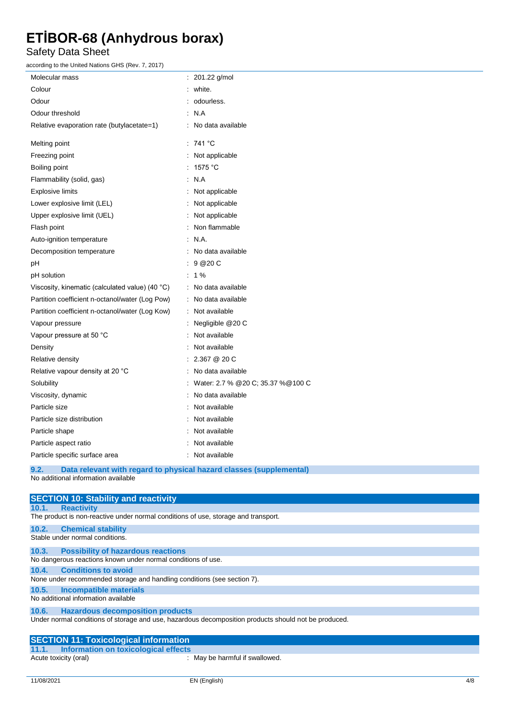Safety Data Sheet

according to the United Nations GHS (Rev. 7, 2017)

| scording to the United Nations Only (Nev. 1, 2011) |                                                                     |
|----------------------------------------------------|---------------------------------------------------------------------|
| Molecular mass                                     | : 201.22 g/mol                                                      |
| Colour                                             | white.                                                              |
| Odour                                              | odourless.                                                          |
| Odour threshold                                    | $\cdot$ N.A                                                         |
| Relative evaporation rate (butylacetate=1)         | : No data available                                                 |
| Melting point                                      | : 741 °C                                                            |
| Freezing point                                     | : Not applicable                                                    |
| Boiling point                                      | : 1575 °C                                                           |
| Flammability (solid, gas)                          | : N.A                                                               |
| <b>Explosive limits</b>                            | : Not applicable                                                    |
| Lower explosive limit (LEL)                        | : Not applicable                                                    |
| Upper explosive limit (UEL)                        | Not applicable                                                      |
| Flash point                                        | Non flammable                                                       |
| Auto-ignition temperature                          | : N.A.                                                              |
| Decomposition temperature                          | No data available                                                   |
| pН                                                 | 9 @ 20 C                                                            |
| pH solution                                        | $: 1\%$                                                             |
| Viscosity, kinematic (calculated value) (40 °C)    | : No data available                                                 |
| Partition coefficient n-octanol/water (Log Pow)    | No data available                                                   |
| Partition coefficient n-octanol/water (Log Kow)    | : Not available                                                     |
| Vapour pressure                                    | Negligible @20 C                                                    |
| Vapour pressure at 50 °C                           | Not available                                                       |
| Density                                            | Not available                                                       |
| Relative density                                   | 2.367 @ 20 C                                                        |
| Relative vapour density at 20 °C                   | No data available                                                   |
| Solubility                                         | Water: 2.7 % @20 C; 35.37 % @100 C                                  |
| Viscosity, dynamic                                 | No data available                                                   |
| Particle size                                      | Not available                                                       |
| Particle size distribution                         | Not available                                                       |
| Particle shape                                     | Not available                                                       |
| Particle aspect ratio                              | Not available                                                       |
| Particle specific surface area                     | : Not available                                                     |
| 9.2.                                               | Data relevant with regard to physical hazard classes (supplemental) |

No additional information available

| <b>SECTION 10: Stability and reactivity</b>                                                          |
|------------------------------------------------------------------------------------------------------|
| <b>Reactivity</b><br>10.1.                                                                           |
| The product is non-reactive under normal conditions of use, storage and transport.                   |
| <b>Chemical stability</b><br>10.2.                                                                   |
| Stable under normal conditions.                                                                      |
| <b>Possibility of hazardous reactions</b><br>10.3.                                                   |
| No dangerous reactions known under normal conditions of use.                                         |
| <b>Conditions to avoid</b><br>10.4.                                                                  |
| None under recommended storage and handling conditions (see section 7).                              |
| Incompatible materials<br>10.5.                                                                      |
| No additional information available                                                                  |
| <b>Hazardous decomposition products</b><br>10.6.                                                     |
| Under normal conditions of storage and use, hazardous decomposition products should not be produced. |
|                                                                                                      |
| <b>SECTION 11: Toxicological information</b>                                                         |
| Information on toxicological effects<br>11.1.                                                        |

Acute toxicity (oral) : May be harmful if swallowed.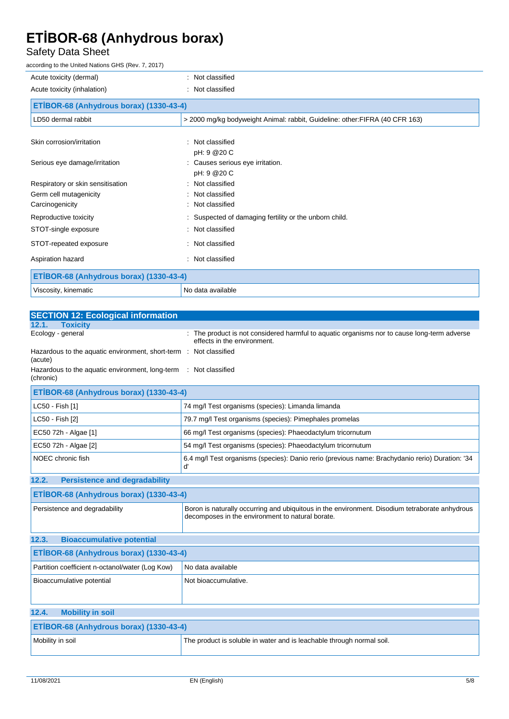#### Safety Data Sheet

according to the United Nations GHS (Rev. 7, 2017)

| Acute toxicity (dermal)                 | : Not classified                                                             |  |
|-----------------------------------------|------------------------------------------------------------------------------|--|
| Acute toxicity (inhalation)             | : Not classified                                                             |  |
| ETİBOR-68 (Anhydrous borax) (1330-43-4) |                                                                              |  |
| LD50 dermal rabbit                      | > 2000 mg/kg bodyweight Animal: rabbit, Guideline: other: FIFRA (40 CFR 163) |  |
|                                         |                                                                              |  |
| Skin corrosion/irritation               | : Not classified<br>pH: 9 @20 C                                              |  |
| Serious eye damage/irritation           | : Causes serious eye irritation.                                             |  |
| Respiratory or skin sensitisation       | pH: 9 @20 C<br>: Not classified                                              |  |
| Germ cell mutagenicity                  | : Not classified                                                             |  |
| Carcinogenicity                         | : Not classified                                                             |  |
| Reproductive toxicity                   | Suspected of damaging fertility or the unborn child.                         |  |
| STOT-single exposure                    | : Not classified                                                             |  |
| STOT-repeated exposure                  | : Not classified                                                             |  |
| Aspiration hazard                       | : Not classified                                                             |  |
| ETİBOR-68 (Anhydrous borax) (1330-43-4) |                                                                              |  |
| Viscosity, kinematic                    | No data available                                                            |  |

| <b>SECTION 12: Ecological information</b>                                                                                                                                           |                                                                                                                            |  |
|-------------------------------------------------------------------------------------------------------------------------------------------------------------------------------------|----------------------------------------------------------------------------------------------------------------------------|--|
| <b>Toxicity</b><br>12.1.                                                                                                                                                            |                                                                                                                            |  |
| Ecology - general                                                                                                                                                                   | : The product is not considered harmful to aquatic organisms nor to cause long-term adverse<br>effects in the environment. |  |
| Hazardous to the aquatic environment, short-term : Not classified<br>(acute)                                                                                                        |                                                                                                                            |  |
| Hazardous to the aquatic environment, long-term<br>(chronic)                                                                                                                        | : Not classified                                                                                                           |  |
| ETİBOR-68 (Anhydrous borax) (1330-43-4)                                                                                                                                             |                                                                                                                            |  |
| LC50 - Fish [1]                                                                                                                                                                     | 74 mg/l Test organisms (species): Limanda limanda                                                                          |  |
| LC50 - Fish [2]                                                                                                                                                                     | 79.7 mg/l Test organisms (species): Pimephales promelas                                                                    |  |
| EC50 72h - Algae [1]                                                                                                                                                                | 66 mg/l Test organisms (species): Phaeodactylum tricornutum                                                                |  |
| EC50 72h - Algae [2]                                                                                                                                                                | 54 mg/l Test organisms (species): Phaeodactylum tricornutum                                                                |  |
| NOEC chronic fish                                                                                                                                                                   | 6.4 mg/l Test organisms (species): Danio rerio (previous name: Brachydanio rerio) Duration: '34<br>ď                       |  |
| <b>Persistence and degradability</b><br>12.2.                                                                                                                                       |                                                                                                                            |  |
| ETİBOR-68 (Anhydrous borax) (1330-43-4)                                                                                                                                             |                                                                                                                            |  |
| Persistence and degradability<br>Boron is naturally occurring and ubiquitous in the environment. Disodium tetraborate anhydrous<br>decomposes in the environment to natural borate. |                                                                                                                            |  |
| <b>Bioaccumulative potential</b><br>12.3.                                                                                                                                           |                                                                                                                            |  |
| ETİBOR-68 (Anhydrous borax) (1330-43-4)                                                                                                                                             |                                                                                                                            |  |
| Partition coefficient n-octanol/water (Log Kow)                                                                                                                                     | No data available                                                                                                          |  |
| Bioaccumulative potential                                                                                                                                                           | Not bioaccumulative.                                                                                                       |  |
|                                                                                                                                                                                     |                                                                                                                            |  |
| <b>Mobility in soil</b><br>12.4.                                                                                                                                                    |                                                                                                                            |  |
| ETİBOR-68 (Anhydrous borax) (1330-43-4)                                                                                                                                             |                                                                                                                            |  |
| Mobility in soil                                                                                                                                                                    | The product is soluble in water and is leachable through normal soil.                                                      |  |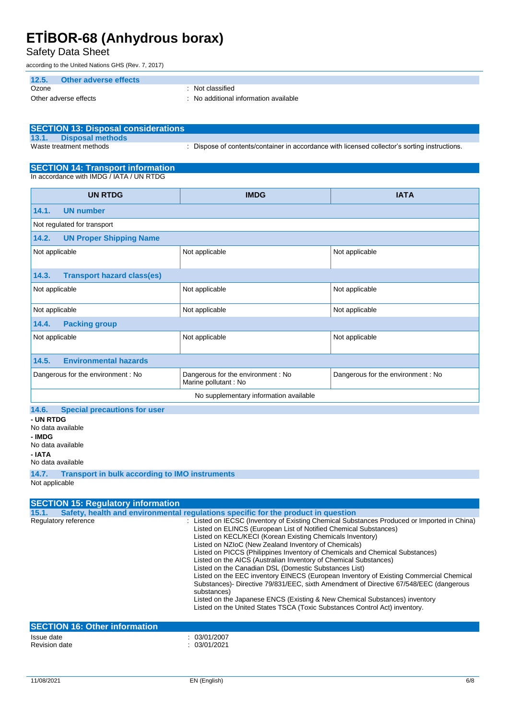Safety Data Sheet

according to the United Nations GHS (Rev. 7, 2017)

| 12.5.<br>Other adverse effects |                                     |
|--------------------------------|-------------------------------------|
| Ozone                          | Not classified                      |
| Other adverse effects          | No additional information available |

| SECTION 13: Disposal considerations |                                                                                             |
|-------------------------------------|---------------------------------------------------------------------------------------------|
| 13.1. Disposal methods              |                                                                                             |
| Waste treatment methods             | Dispose of contents/container in accordance with licensed collector's sorting instructions. |

#### **SECTION 14: Transport information**

In accordance with IMDG / IATA / UN RTDG

| <b>UN RTDG</b>                                                                                  | <b>IMDG</b>    | <b>IATA</b>                       |
|-------------------------------------------------------------------------------------------------|----------------|-----------------------------------|
| 14.1.<br><b>UN number</b>                                                                       |                |                                   |
| Not regulated for transport                                                                     |                |                                   |
| <b>UN Proper Shipping Name</b><br>14.2.                                                         |                |                                   |
| Not applicable                                                                                  | Not applicable | Not applicable                    |
| <b>Transport hazard class(es)</b><br>14.3.                                                      |                |                                   |
| Not applicable                                                                                  | Not applicable | Not applicable                    |
| Not applicable<br>Not applicable<br>Not applicable                                              |                |                                   |
| <b>Packing group</b><br>14.4.                                                                   |                |                                   |
| Not applicable<br>Not applicable                                                                |                | Not applicable                    |
| <b>Environmental hazards</b><br>14.5.                                                           |                |                                   |
| Dangerous for the environment: No<br>Dangerous for the environment: No<br>Marine pollutant : No |                | Dangerous for the environment: No |
| No supplementary information available                                                          |                |                                   |
| 14.6.<br><b>Special precautions for user</b>                                                    |                |                                   |

**- UN RTDG** No data available **- IMDG** No data available **- IATA**

No data available

**14.7. Transport in bulk according to IMO instruments**

Not applicable

| <b>SECTION 15: Regulatory information</b> |                                                                                                                                                                                                                                                                                                                                                                                                                                                                                                                                                                                                                                                                                                                                                                                                                                                                 |
|-------------------------------------------|-----------------------------------------------------------------------------------------------------------------------------------------------------------------------------------------------------------------------------------------------------------------------------------------------------------------------------------------------------------------------------------------------------------------------------------------------------------------------------------------------------------------------------------------------------------------------------------------------------------------------------------------------------------------------------------------------------------------------------------------------------------------------------------------------------------------------------------------------------------------|
| 15.1.                                     | Safety, health and environmental regulations specific for the product in question                                                                                                                                                                                                                                                                                                                                                                                                                                                                                                                                                                                                                                                                                                                                                                               |
| Regulatory reference                      | : Listed on IECSC (Inventory of Existing Chemical Substances Produced or Imported in China)<br>Listed on ELINCS (European List of Notified Chemical Substances)<br>Listed on KECL/KECI (Korean Existing Chemicals Inventory)<br>Listed on NZIoC (New Zealand Inventory of Chemicals)<br>Listed on PICCS (Philippines Inventory of Chemicals and Chemical Substances)<br>Listed on the AICS (Australian Inventory of Chemical Substances)<br>Listed on the Canadian DSL (Domestic Substances List)<br>Listed on the EEC inventory EINECS (European Inventory of Existing Commercial Chemical<br>Substances)- Directive 79/831/EEC, sixth Amendment of Directive 67/548/EEC (dangerous<br>substances)<br>Listed on the Japanese ENCS (Existing & New Chemical Substances) inventory<br>Listed on the United States TSCA (Toxic Substances Control Act) inventory. |
| <b>SECTION 16: Other information</b>      |                                                                                                                                                                                                                                                                                                                                                                                                                                                                                                                                                                                                                                                                                                                                                                                                                                                                 |
| Issue date<br><b>Revision date</b>        | : 03/01/2007<br>: 03/01/2021                                                                                                                                                                                                                                                                                                                                                                                                                                                                                                                                                                                                                                                                                                                                                                                                                                    |
|                                           |                                                                                                                                                                                                                                                                                                                                                                                                                                                                                                                                                                                                                                                                                                                                                                                                                                                                 |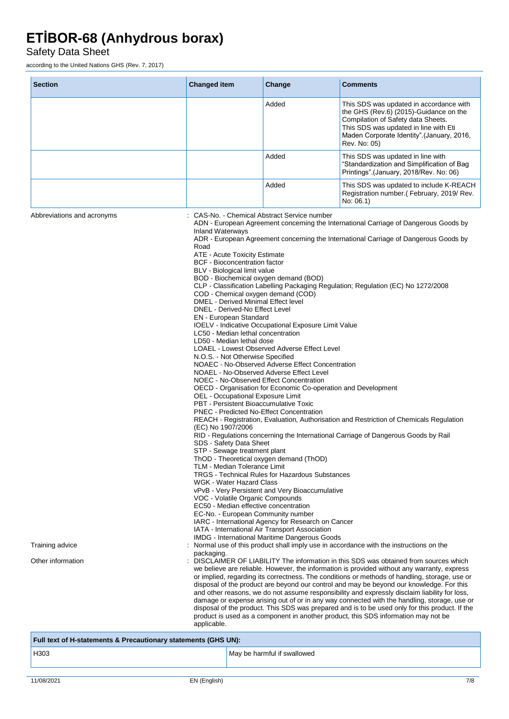Safety Data Sheet

according to the United Nations GHS (Rev. 7, 2017)

| <b>Section</b>                                                     | <b>Changed item</b>                                                                                                                                                                                                                                                                                                                                                                                                                                                                                                                                                                                                                                                                                                                                                 | Change                                                                                                                                                                                                                                                                                                                                                                                                                                                                                                                                                                                                                                                                                                                                                                        | <b>Comments</b>                                                                                                                                                                                                                                                                                                                                                                                                                                                                                                                                                                                                                                                                                                                                                                                                                                                                                                                                                                                                                                                                                                                                                                                                                                                                                                        |
|--------------------------------------------------------------------|---------------------------------------------------------------------------------------------------------------------------------------------------------------------------------------------------------------------------------------------------------------------------------------------------------------------------------------------------------------------------------------------------------------------------------------------------------------------------------------------------------------------------------------------------------------------------------------------------------------------------------------------------------------------------------------------------------------------------------------------------------------------|-------------------------------------------------------------------------------------------------------------------------------------------------------------------------------------------------------------------------------------------------------------------------------------------------------------------------------------------------------------------------------------------------------------------------------------------------------------------------------------------------------------------------------------------------------------------------------------------------------------------------------------------------------------------------------------------------------------------------------------------------------------------------------|------------------------------------------------------------------------------------------------------------------------------------------------------------------------------------------------------------------------------------------------------------------------------------------------------------------------------------------------------------------------------------------------------------------------------------------------------------------------------------------------------------------------------------------------------------------------------------------------------------------------------------------------------------------------------------------------------------------------------------------------------------------------------------------------------------------------------------------------------------------------------------------------------------------------------------------------------------------------------------------------------------------------------------------------------------------------------------------------------------------------------------------------------------------------------------------------------------------------------------------------------------------------------------------------------------------------|
|                                                                    |                                                                                                                                                                                                                                                                                                                                                                                                                                                                                                                                                                                                                                                                                                                                                                     | Added                                                                                                                                                                                                                                                                                                                                                                                                                                                                                                                                                                                                                                                                                                                                                                         | This SDS was updated in accordance with<br>the GHS (Rev.6) (2015)-Guidance on the<br>Compilation of Safety data Sheets.<br>This SDS was updated in line with Eti<br>Maden Corporate Identity".(January, 2016,<br>Rev. No: 05)                                                                                                                                                                                                                                                                                                                                                                                                                                                                                                                                                                                                                                                                                                                                                                                                                                                                                                                                                                                                                                                                                          |
|                                                                    |                                                                                                                                                                                                                                                                                                                                                                                                                                                                                                                                                                                                                                                                                                                                                                     | Added                                                                                                                                                                                                                                                                                                                                                                                                                                                                                                                                                                                                                                                                                                                                                                         | This SDS was updated in line with<br>"Standardization and Simplification of Bag<br>Printings" (January, 2018/Rev. No: 06)                                                                                                                                                                                                                                                                                                                                                                                                                                                                                                                                                                                                                                                                                                                                                                                                                                                                                                                                                                                                                                                                                                                                                                                              |
|                                                                    |                                                                                                                                                                                                                                                                                                                                                                                                                                                                                                                                                                                                                                                                                                                                                                     | Added                                                                                                                                                                                                                                                                                                                                                                                                                                                                                                                                                                                                                                                                                                                                                                         | This SDS was updated to include K-REACH<br>Registration number.(February, 2019/Rev.<br>No: 06.1)                                                                                                                                                                                                                                                                                                                                                                                                                                                                                                                                                                                                                                                                                                                                                                                                                                                                                                                                                                                                                                                                                                                                                                                                                       |
| Abbreviations and acronyms<br>Training advice<br>Other information | <b>Inland Waterways</b><br>Road<br>ATE - Acute Toxicity Estimate<br><b>BCF</b> - Bioconcentration factor<br>BLV - Biological limit value<br>COD - Chemical oxygen demand (COD)<br>DMEL - Derived Minimal Effect level<br>DNEL - Derived-No Effect Level<br>EN - European Standard<br>LC50 - Median lethal concentration<br>LD50 - Median lethal dose<br>N.O.S. - Not Otherwise Specified<br>OEL - Occupational Exposure Limit<br>PBT - Persistent Bioaccumulative Toxic<br>(EC) No 1907/2006<br>SDS - Safety Data Sheet<br>STP - Sewage treatment plant<br>TLM - Median Tolerance Limit<br>WGK - Water Hazard Class<br>VOC - Volatile Organic Compounds<br>EC50 - Median effective concentration<br>EC-No. - European Community number<br>packaging.<br>applicable. | : CAS-No. - Chemical Abstract Service number<br>BOD - Biochemical oxygen demand (BOD)<br>IOELV - Indicative Occupational Exposure Limit Value<br>LOAEL - Lowest Observed Adverse Effect Level<br>NOAEC - No-Observed Adverse Effect Concentration<br>NOAEL - No-Observed Adverse Effect Level<br>NOEC - No-Observed Effect Concentration<br>OECD - Organisation for Economic Co-operation and Development<br><b>PNEC - Predicted No-Effect Concentration</b><br>ThOD - Theoretical oxygen demand (ThOD)<br><b>TRGS - Technical Rules for Hazardous Substances</b><br>vPvB - Very Persistent and Very Bioaccumulative<br>IARC - International Agency for Research on Cancer<br>IATA - International Air Transport Association<br>IMDG - International Maritime Dangerous Goods | ADN - European Agreement concerning the International Carriage of Dangerous Goods by<br>ADR - European Agreement concerning the International Carriage of Dangerous Goods by<br>CLP - Classification Labelling Packaging Regulation; Regulation (EC) No 1272/2008<br>REACH - Registration, Evaluation, Authorisation and Restriction of Chemicals Regulation<br>RID - Regulations concerning the International Carriage of Dangerous Goods by Rail<br>Normal use of this product shall imply use in accordance with the instructions on the<br>DISCLAIMER OF LIABILITY The information in this SDS was obtained from sources which<br>we believe are reliable. However, the information is provided without any warranty, express<br>or implied, regarding its correctness. The conditions or methods of handling, storage, use or<br>disposal of the product are beyond our control and may be beyond our knowledge. For this<br>and other reasons, we do not assume responsibility and expressly disclaim liability for loss,<br>damage or expense arising out of or in any way connected with the handling, storage, use or<br>disposal of the product. This SDS was prepared and is to be used only for this product. If the<br>product is used as a component in another product, this SDS information may not be |
| Full text of H-statements & Precautionary statements (GHS UN):     |                                                                                                                                                                                                                                                                                                                                                                                                                                                                                                                                                                                                                                                                                                                                                                     |                                                                                                                                                                                                                                                                                                                                                                                                                                                                                                                                                                                                                                                                                                                                                                               |                                                                                                                                                                                                                                                                                                                                                                                                                                                                                                                                                                                                                                                                                                                                                                                                                                                                                                                                                                                                                                                                                                                                                                                                                                                                                                                        |
| H303                                                               |                                                                                                                                                                                                                                                                                                                                                                                                                                                                                                                                                                                                                                                                                                                                                                     | May be harmful if swallowed                                                                                                                                                                                                                                                                                                                                                                                                                                                                                                                                                                                                                                                                                                                                                   |                                                                                                                                                                                                                                                                                                                                                                                                                                                                                                                                                                                                                                                                                                                                                                                                                                                                                                                                                                                                                                                                                                                                                                                                                                                                                                                        |